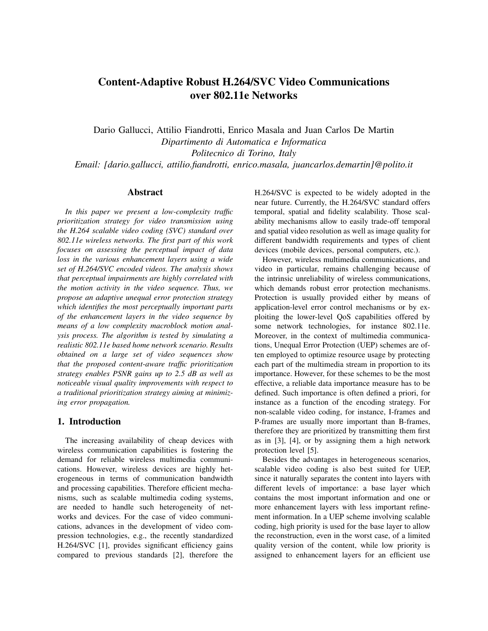# Content-Adaptive Robust H.264/SVC Video Communications over 802.11e Networks

Dario Gallucci, Attilio Fiandrotti, Enrico Masala and Juan Carlos De Martin *Dipartimento di Automatica e Informatica Politecnico di Torino, Italy Email: [dario.gallucci, attilio.fiandrotti, enrico.masala, juancarlos.demartin]@polito.it*

## Abstract

*In this paper we present a low-complexity traffic prioritization strategy for video transmission using the H.264 scalable video coding (SVC) standard over 802.11e wireless networks. The first part of this work focuses on assessing the perceptual impact of data loss in the various enhancement layers using a wide set of H.264/SVC encoded videos. The analysis shows that perceptual impairments are highly correlated with the motion activity in the video sequence. Thus, we propose an adaptive unequal error protection strategy which identifies the most perceptually important parts of the enhancement layers in the video sequence by means of a low complexity macroblock motion analysis process. The algorithm is tested by simulating a realistic 802.11e based home network scenario. Results obtained on a large set of video sequences show that the proposed content-aware traffic prioritization strategy enables PSNR gains up to 2.5 dB as well as noticeable visual quality improvements with respect to a traditional prioritization strategy aiming at minimizing error propagation.*

## 1. Introduction

The increasing availability of cheap devices with wireless communication capabilities is fostering the demand for reliable wireless multimedia communications. However, wireless devices are highly heterogeneous in terms of communication bandwidth and processing capabilities. Therefore efficient mechanisms, such as scalable multimedia coding systems, are needed to handle such heterogeneity of networks and devices. For the case of video communications, advances in the development of video compression technologies, e.g., the recently standardized H.264/SVC [1], provides significant efficiency gains compared to previous standards [2], therefore the H.264/SVC is expected to be widely adopted in the near future. Currently, the H.264/SVC standard offers temporal, spatial and fidelity scalability. Those scalability mechanisms allow to easily trade-off temporal and spatial video resolution as well as image quality for different bandwidth requirements and types of client devices (mobile devices, personal computers, etc.).

However, wireless multimedia communications, and video in particular, remains challenging because of the intrinsic unreliability of wireless communications, which demands robust error protection mechanisms. Protection is usually provided either by means of application-level error control mechanisms or by exploiting the lower-level QoS capabilities offered by some network technologies, for instance 802.11e. Moreover, in the context of multimedia communications, Unequal Error Protection (UEP) schemes are often employed to optimize resource usage by protecting each part of the multimedia stream in proportion to its importance. However, for these schemes to be the most effective, a reliable data importance measure has to be defined. Such importance is often defined a priori, for instance as a function of the encoding strategy. For non-scalable video coding, for instance, I-frames and P-frames are usually more important than B-frames, therefore they are prioritized by transmitting them first as in [3], [4], or by assigning them a high network protection level [5].

Besides the advantages in heterogeneous scenarios, scalable video coding is also best suited for UEP, since it naturally separates the content into layers with different levels of importance: a base layer which contains the most important information and one or more enhancement layers with less important refinement information. In a UEP scheme involving scalable coding, high priority is used for the base layer to allow the reconstruction, even in the worst case, of a limited quality version of the content, while low priority is assigned to enhancement layers for an efficient use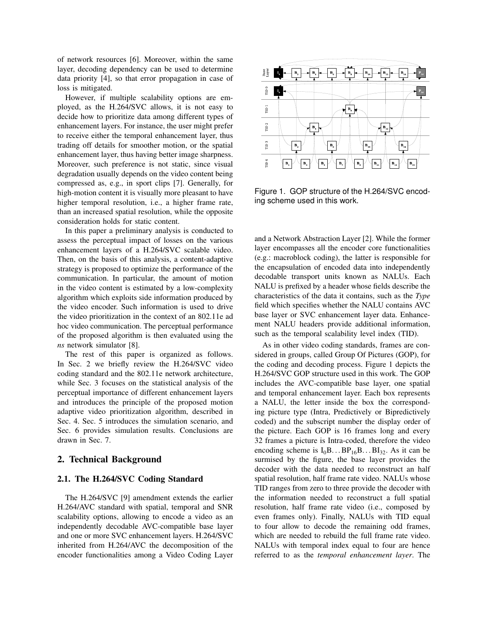of network resources [6]. Moreover, within the same layer, decoding dependency can be used to determine data priority [4], so that error propagation in case of loss is mitigated.

However, if multiple scalability options are employed, as the H.264/SVC allows, it is not easy to decide how to prioritize data among different types of enhancement layers. For instance, the user might prefer to receive either the temporal enhancement layer, thus trading off details for smoother motion, or the spatial enhancement layer, thus having better image sharpness. Moreover, such preference is not static, since visual degradation usually depends on the video content being compressed as, e.g., in sport clips [7]. Generally, for high-motion content it is visually more pleasant to have higher temporal resolution, i.e., a higher frame rate, than an increased spatial resolution, while the opposite consideration holds for static content.

In this paper a preliminary analysis is conducted to assess the perceptual impact of losses on the various enhancement layers of a H.264/SVC scalable video. Then, on the basis of this analysis, a content-adaptive strategy is proposed to optimize the performance of the communication. In particular, the amount of motion in the video content is estimated by a low-complexity algorithm which exploits side information produced by the video encoder. Such information is used to drive the video prioritization in the context of an 802.11e ad hoc video communication. The perceptual performance of the proposed algorithm is then evaluated using the *ns* network simulator [8].

The rest of this paper is organized as follows. In Sec. 2 we briefly review the H.264/SVC video coding standard and the 802.11e network architecture, while Sec. 3 focuses on the statistical analysis of the perceptual importance of different enhancement layers and introduces the principle of the proposed motion adaptive video prioritization algorithm, described in Sec. 4. Sec. 5 introduces the simulation scenario, and Sec. 6 provides simulation results. Conclusions are drawn in Sec. 7.

# 2. Technical Background

#### 2.1. The H.264/SVC Coding Standard

The H.264/SVC [9] amendment extends the earlier H.264/AVC standard with spatial, temporal and SNR scalability options, allowing to encode a video as an independently decodable AVC-compatible base layer and one or more SVC enhancement layers. H.264/SVC inherited from H.264/AVC the decomposition of the encoder functionalities among a Video Coding Layer



Figure 1. GOP structure of the H.264/SVC encoding scheme used in this work.

and a Network Abstraction Layer [2]. While the former layer encompasses all the encoder core functionalities (e.g.: macroblock coding), the latter is responsible for the encapsulation of encoded data into independently decodable transport units known as NALUs. Each NALU is prefixed by a header whose fields describe the characteristics of the data it contains, such as the *Type* field which specifies whether the NALU contains AVC base layer or SVC enhancement layer data. Enhancement NALU headers provide additional information, such as the temporal scalability level index (TID).

As in other video coding standards, frames are considered in groups, called Group Of Pictures (GOP), for the coding and decoding process. Figure 1 depicts the H.264/SVC GOP structure used in this work. The GOP includes the AVC-compatible base layer, one spatial and temporal enhancement layer. Each box represents a NALU, the letter inside the box the corresponding picture type (Intra, Predictively or Bipredictively coded) and the subscript number the display order of the picture. Each GOP is 16 frames long and every 32 frames a picture is Intra-coded, therefore the video encoding scheme is  $I_0B...BP_{16}B...BI_{32}$ . As it can be surmised by the figure, the base layer provides the decoder with the data needed to reconstruct an half spatial resolution, half frame rate video. NALUs whose TID ranges from zero to three provide the decoder with the information needed to reconstruct a full spatial resolution, half frame rate video (i.e., composed by even frames only). Finally, NALUs with TID equal to four allow to decode the remaining odd frames, which are needed to rebuild the full frame rate video. NALUs with temporal index equal to four are hence referred to as the *temporal enhancement layer*. The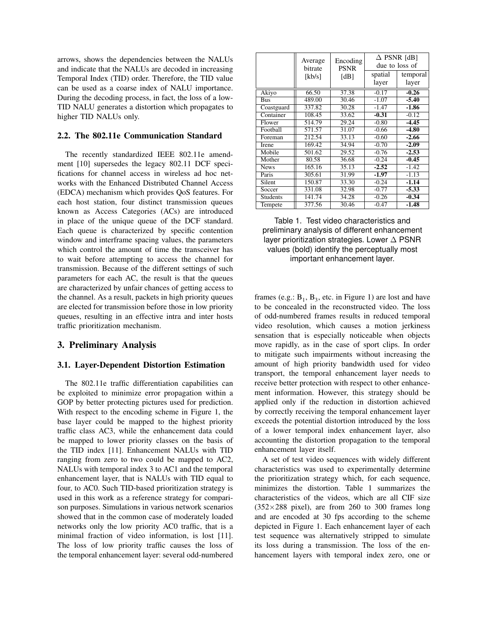arrows, shows the dependencies between the NALUs and indicate that the NALUs are decoded in increasing Temporal Index (TID) order. Therefore, the TID value can be used as a coarse index of NALU importance. During the decoding process, in fact, the loss of a low-TID NALU generates a distortion which propagates to higher TID NALUs only.

#### 2.2. The 802.11e Communication Standard

The recently standardized IEEE 802.11e amendment [10] supersedes the legacy 802.11 DCF specifications for channel access in wireless ad hoc networks with the Enhanced Distributed Channel Access (EDCA) mechanism which provides QoS features. For each host station, four distinct transmission queues known as Access Categories (ACs) are introduced in place of the unique queue of the DCF standard. Each queue is characterized by specific contention window and interframe spacing values, the parameters which control the amount of time the transceiver has to wait before attempting to access the channel for transmission. Because of the different settings of such parameters for each AC, the result is that the queues are characterized by unfair chances of getting access to the channel. As a result, packets in high priority queues are elected for transmission before those in low priority queues, resulting in an effective intra and inter hosts traffic prioritization mechanism.

## 3. Preliminary Analysis

#### 3.1. Layer-Dependent Distortion Estimation

The 802.11e traffic differentiation capabilities can be exploited to minimize error propagation within a GOP by better protecting pictures used for prediction. With respect to the encoding scheme in Figure 1, the base layer could be mapped to the highest priority traffic class AC3, while the enhancement data could be mapped to lower priority classes on the basis of the TID index [11]. Enhancement NALUs with TID ranging from zero to two could be mapped to AC2, NALUs with temporal index 3 to AC1 and the temporal enhancement layer, that is NALUs with TID equal to four, to AC0. Such TID-based prioritization strategy is used in this work as a reference strategy for comparison purposes. Simulations in various network scenarios showed that in the common case of moderately loaded networks only the low priority AC0 traffic, that is a minimal fraction of video information, is lost [11]. The loss of low priority traffic causes the loss of the temporal enhancement layer: several odd-numbered

|                 | Average<br>bitrate<br>[kb/s] | Encoding<br><b>PSNR</b><br>[dB] | $\Delta$ PSNR [dB]<br>due to loss of<br>spatial<br>temporal<br>layer<br>layer |         |  |
|-----------------|------------------------------|---------------------------------|-------------------------------------------------------------------------------|---------|--|
| Akiyo           | 66.50                        | 37.38                           | $-0.17$                                                                       | $-0.26$ |  |
| Bus             | 489.00                       | 30.46                           | $-1.07$                                                                       | $-5.40$ |  |
| Coastguard      | 337.82                       | 30.28                           | $-1.47$                                                                       | $-1.86$ |  |
| Container       | 108.45                       | 33.62                           | $-0.31$                                                                       | $-0.12$ |  |
| Flower          | 514.79                       | 29.24                           | $-0.80$                                                                       | $-4.45$ |  |
| Football        | 571.57                       | 31.07                           | $-0.66$                                                                       | $-4.80$ |  |
| Foreman         | 212.54                       | 33.13                           | $-0.60$                                                                       | $-2.66$ |  |
| Irene           | 169.42                       | 34.94                           | $-0.70$                                                                       | $-2.09$ |  |
| Mobile          | 501.62                       | 29.52                           | $-0.76$                                                                       | $-2.53$ |  |
| Mother          | 80.58                        | 36.68                           | $-0.24$                                                                       | $-0.45$ |  |
| <b>News</b>     | 165.16                       | 35.13                           | $-2.52$                                                                       | $-1.42$ |  |
| Paris           | 305.61                       | 31.99                           | -1.97                                                                         | $-1.13$ |  |
| Silent          | 150.87                       | 33.30                           | $-0.24$                                                                       | $-1.14$ |  |
| Soccer          | 331.08                       | 32.98                           | $-0.77$                                                                       | $-5.33$ |  |
| <b>Students</b> | 141.74                       | 34.28                           | $-0.26$                                                                       | $-0.34$ |  |
| Tempete         | 377.56                       | 30.46                           | $-0.47$                                                                       | $-1.48$ |  |

Table 1. Test video characteristics and preliminary analysis of different enhancement layer prioritization strategies. Lower ∆ PSNR values (bold) identify the perceptually most important enhancement layer.

frames (e.g.:  $B_1$ ,  $B_3$ , etc. in Figure 1) are lost and have to be concealed in the reconstructed video. The loss of odd-numbered frames results in reduced temporal video resolution, which causes a motion jerkiness sensation that is especially noticeable when objects move rapidly, as in the case of sport clips. In order to mitigate such impairments without increasing the amount of high priority bandwidth used for video transport, the temporal enhancement layer needs to receive better protection with respect to other enhancement information. However, this strategy should be applied only if the reduction in distortion achieved by correctly receiving the temporal enhancement layer exceeds the potential distortion introduced by the loss of a lower temporal index enhancement layer, also accounting the distortion propagation to the temporal enhancement layer itself.

A set of test video sequences with widely different characteristics was used to experimentally determine the prioritization strategy which, for each sequence, minimizes the distortion. Table 1 summarizes the characteristics of the videos, which are all CIF size  $(352\times288$  pixel), are from 260 to 300 frames long and are encoded at 30 fps according to the scheme depicted in Figure 1. Each enhancement layer of each test sequence was alternatively stripped to simulate its loss during a transmission. The loss of the enhancement layers with temporal index zero, one or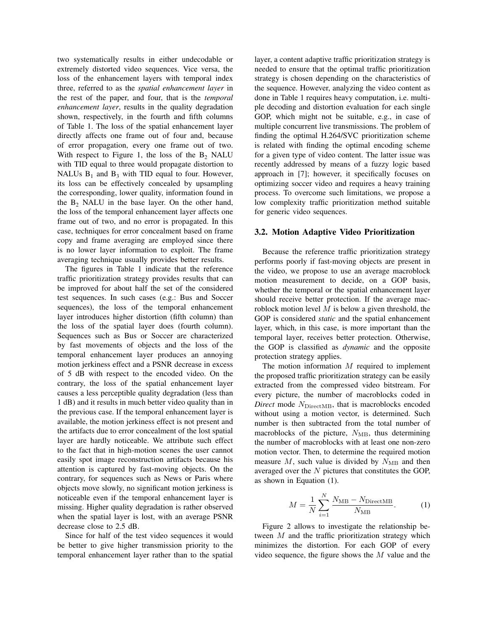two systematically results in either undecodable or extremely distorted video sequences. Vice versa, the loss of the enhancement layers with temporal index three, referred to as the *spatial enhancement layer* in the rest of the paper, and four, that is the *temporal enhancement layer*, results in the quality degradation shown, respectively, in the fourth and fifth columns of Table 1. The loss of the spatial enhancement layer directly affects one frame out of four and, because of error propagation, every one frame out of two. With respect to Figure 1, the loss of the  $B_2$  NALU with TID equal to three would propagate distortion to NALUs  $B_1$  and  $B_3$  with TID equal to four. However, its loss can be effectively concealed by upsampling the corresponding, lower quality, information found in the  $B_2$  NALU in the base layer. On the other hand, the loss of the temporal enhancement layer affects one frame out of two, and no error is propagated. In this case, techniques for error concealment based on frame copy and frame averaging are employed since there is no lower layer information to exploit. The frame averaging technique usually provides better results.

The figures in Table 1 indicate that the reference traffic prioritization strategy provides results that can be improved for about half the set of the considered test sequences. In such cases (e.g.: Bus and Soccer sequences), the loss of the temporal enhancement layer introduces higher distortion (fifth column) than the loss of the spatial layer does (fourth column). Sequences such as Bus or Soccer are characterized by fast movements of objects and the loss of the temporal enhancement layer produces an annoying motion jerkiness effect and a PSNR decrease in excess of 5 dB with respect to the encoded video. On the contrary, the loss of the spatial enhancement layer causes a less perceptible quality degradation (less than 1 dB) and it results in much better video quality than in the previous case. If the temporal enhancement layer is available, the motion jerkiness effect is not present and the artifacts due to error concealment of the lost spatial layer are hardly noticeable. We attribute such effect to the fact that in high-motion scenes the user cannot easily spot image reconstruction artifacts because his attention is captured by fast-moving objects. On the contrary, for sequences such as News or Paris where objects move slowly, no significant motion jerkiness is noticeable even if the temporal enhancement layer is missing. Higher quality degradation is rather observed when the spatial layer is lost, with an average PSNR decrease close to 2.5 dB.

Since for half of the test video sequences it would be better to give higher transmission priority to the temporal enhancement layer rather than to the spatial

layer, a content adaptive traffic prioritization strategy is needed to ensure that the optimal traffic prioritization strategy is chosen depending on the characteristics of the sequence. However, analyzing the video content as done in Table 1 requires heavy computation, i.e. multiple decoding and distortion evaluation for each single GOP, which might not be suitable, e.g., in case of multiple concurrent live transmissions. The problem of finding the optimal H.264/SVC prioritization scheme is related with finding the optimal encoding scheme for a given type of video content. The latter issue was recently addressed by means of a fuzzy logic based approach in [7]; however, it specifically focuses on optimizing soccer video and requires a heavy training process. To overcome such limitations, we propose a low complexity traffic prioritization method suitable for generic video sequences.

#### 3.2. Motion Adaptive Video Prioritization

Because the reference traffic prioritization strategy performs poorly if fast-moving objects are present in the video, we propose to use an average macroblock motion measurement to decide, on a GOP basis, whether the temporal or the spatial enhancement layer should receive better protection. If the average macroblock motion level  $M$  is below a given threshold, the GOP is considered *static* and the spatial enhancement layer, which, in this case, is more important than the temporal layer, receives better protection. Otherwise, the GOP is classified as *dynamic* and the opposite protection strategy applies.

The motion information  $M$  required to implement the proposed traffic prioritization strategy can be easily extracted from the compressed video bitstream. For every picture, the number of macroblocks coded in *Direct* mode  $N<sub>DirectMB</sub>$ , that is macroblocks encoded without using a motion vector, is determined. Such number is then subtracted from the total number of macroblocks of the picture,  $N_{\text{MB}}$ , thus determining the number of macroblocks with at least one non-zero motion vector. Then, to determine the required motion measure  $M$ , such value is divided by  $N_{\text{MB}}$  and then averaged over the N pictures that constitutes the GOP, as shown in Equation (1).

$$
M = \frac{1}{N} \sum_{i=1}^{N} \frac{N_{\rm MB} - N_{\rm DirectMB}}{N_{\rm MB}}.
$$
 (1)

Figure 2 allows to investigate the relationship between M and the traffic prioritization strategy which minimizes the distortion. For each GOP of every video sequence, the figure shows the M value and the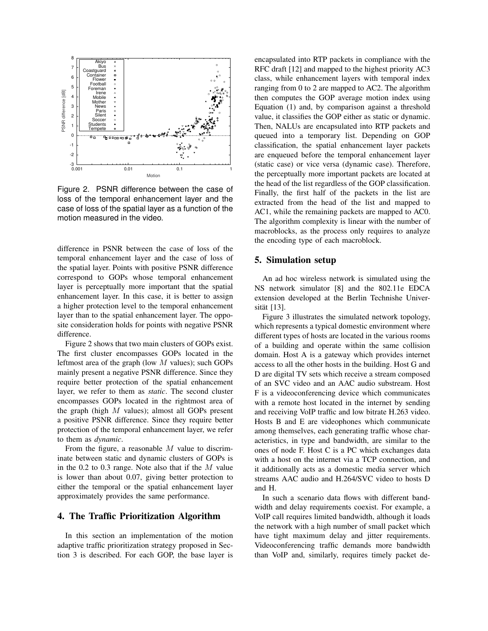

Figure 2. PSNR difference between the case of loss of the temporal enhancement layer and the case of loss of the spatial layer as a function of the motion measured in the video.

difference in PSNR between the case of loss of the temporal enhancement layer and the case of loss of the spatial layer. Points with positive PSNR difference correspond to GOPs whose temporal enhancement layer is perceptually more important that the spatial enhancement layer. In this case, it is better to assign a higher protection level to the temporal enhancement layer than to the spatial enhancement layer. The opposite consideration holds for points with negative PSNR difference.

Figure 2 shows that two main clusters of GOPs exist. The first cluster encompasses GOPs located in the leftmost area of the graph (low M values); such GOPs mainly present a negative PSNR difference. Since they require better protection of the spatial enhancement layer, we refer to them as *static*. The second cluster encompasses GOPs located in the rightmost area of the graph (high  $M$  values); almost all GOPs present a positive PSNR difference. Since they require better protection of the temporal enhancement layer, we refer to them as *dynamic*.

From the figure, a reasonable  $M$  value to discriminate between static and dynamic clusters of GOPs is in the 0.2 to 0.3 range. Note also that if the M value is lower than about 0.07, giving better protection to either the temporal or the spatial enhancement layer approximately provides the same performance.

### 4. The Traffic Prioritization Algorithm

In this section an implementation of the motion adaptive traffic prioritization strategy proposed in Section 3 is described. For each GOP, the base layer is encapsulated into RTP packets in compliance with the RFC draft [12] and mapped to the highest priority AC3 class, while enhancement layers with temporal index ranging from 0 to 2 are mapped to AC2. The algorithm then computes the GOP average motion index using Equation (1) and, by comparison against a threshold value, it classifies the GOP either as static or dynamic. Then, NALUs are encapsulated into RTP packets and queued into a temporary list. Depending on GOP classification, the spatial enhancement layer packets are enqueued before the temporal enhancement layer (static case) or vice versa (dynamic case). Therefore, the perceptually more important packets are located at the head of the list regardless of the GOP classification. Finally, the first half of the packets in the list are extracted from the head of the list and mapped to AC1, while the remaining packets are mapped to AC0. The algorithm complexity is linear with the number of macroblocks, as the process only requires to analyze the encoding type of each macroblock.

#### 5. Simulation setup

An ad hoc wireless network is simulated using the NS network simulator [8] and the 802.11e EDCA extension developed at the Berlin Technishe Universität [13].

Figure 3 illustrates the simulated network topology, which represents a typical domestic environment where different types of hosts are located in the various rooms of a building and operate within the same collision domain. Host A is a gateway which provides internet access to all the other hosts in the building. Host G and D are digital TV sets which receive a stream composed of an SVC video and an AAC audio substream. Host F is a videoconferencing device which communicates with a remote host located in the internet by sending and receiving VoIP traffic and low bitrate H.263 video. Hosts B and E are videophones which communicate among themselves, each generating traffic whose characteristics, in type and bandwidth, are similar to the ones of node F. Host C is a PC which exchanges data with a host on the internet via a TCP connection, and it additionally acts as a domestic media server which streams AAC audio and H.264/SVC video to hosts D and H.

In such a scenario data flows with different bandwidth and delay requirements coexist. For example, a VoIP call requires limited bandwidth, although it loads the network with a high number of small packet which have tight maximum delay and jitter requirements. Videoconferencing traffic demands more bandwidth than VoIP and, similarly, requires timely packet de-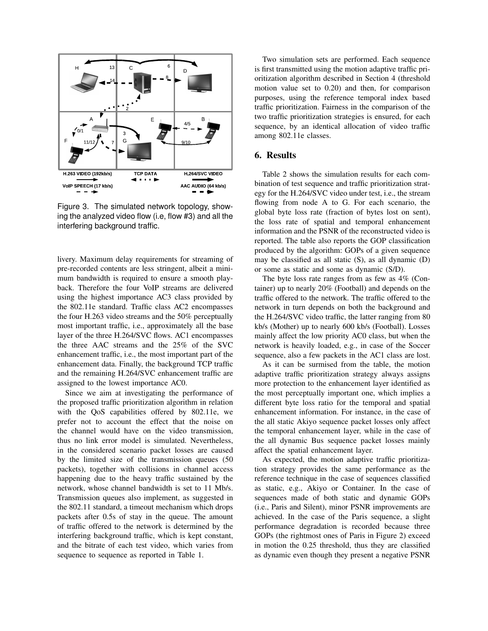

Figure 3. The simulated network topology, showing the analyzed video flow (i.e, flow #3) and all the interfering background traffic.

livery. Maximum delay requirements for streaming of pre-recorded contents are less stringent, albeit a minimum bandwidth is required to ensure a smooth playback. Therefore the four VoIP streams are delivered using the highest importance AC3 class provided by the 802.11e standard. Traffic class AC2 encompasses the four H.263 video streams and the 50% perceptually most important traffic, i.e., approximately all the base layer of the three H.264/SVC flows. AC1 encompasses the three AAC streams and the 25% of the SVC enhancement traffic, i.e., the most important part of the enhancement data. Finally, the background TCP traffic and the remaining H.264/SVC enhancement traffic are assigned to the lowest importance AC0.

Since we aim at investigating the performance of the proposed traffic prioritization algorithm in relation with the QoS capabilities offered by 802.11e, we prefer not to account the effect that the noise on the channel would have on the video transmission, thus no link error model is simulated. Nevertheless, in the considered scenario packet losses are caused by the limited size of the transmission queues (50 packets), together with collisions in channel access happening due to the heavy traffic sustained by the network, whose channel bandwidth is set to 11 Mb/s. Transmission queues also implement, as suggested in the 802.11 standard, a timeout mechanism which drops packets after 0.5s of stay in the queue. The amount of traffic offered to the network is determined by the interfering background traffic, which is kept constant, and the bitrate of each test video, which varies from sequence to sequence as reported in Table 1.

Two simulation sets are performed. Each sequence is first transmitted using the motion adaptive traffic prioritization algorithm described in Section 4 (threshold motion value set to 0.20) and then, for comparison purposes, using the reference temporal index based traffic prioritization. Fairness in the comparison of the two traffic prioritization strategies is ensured, for each sequence, by an identical allocation of video traffic among 802.11e classes.

#### 6. Results

Table 2 shows the simulation results for each combination of test sequence and traffic prioritization strategy for the H.264/SVC video under test, i.e., the stream flowing from node A to G. For each scenario, the global byte loss rate (fraction of bytes lost on sent), the loss rate of spatial and temporal enhancement information and the PSNR of the reconstructed video is reported. The table also reports the GOP classification produced by the algorithm: GOPs of a given sequence may be classified as all static (S), as all dynamic (D) or some as static and some as dynamic (S/D).

The byte loss rate ranges from as few as 4% (Container) up to nearly 20% (Football) and depends on the traffic offered to the network. The traffic offered to the network in turn depends on both the background and the H.264/SVC video traffic, the latter ranging from 80 kb/s (Mother) up to nearly 600 kb/s (Football). Losses mainly affect the low priority AC0 class, but when the network is heavily loaded, e.g., in case of the Soccer sequence, also a few packets in the AC1 class are lost.

As it can be surmised from the table, the motion adaptive traffic prioritization strategy always assigns more protection to the enhancement layer identified as the most perceptually important one, which implies a different byte loss ratio for the temporal and spatial enhancement information. For instance, in the case of the all static Akiyo sequence packet losses only affect the temporal enhancement layer, while in the case of the all dynamic Bus sequence packet losses mainly affect the spatial enhancement layer.

As expected, the motion adaptive traffic prioritization strategy provides the same performance as the reference technique in the case of sequences classified as static, e.g., Akiyo or Container. In the case of sequences made of both static and dynamic GOPs (i.e., Paris and Silent), minor PSNR improvements are achieved. In the case of the Paris sequence, a slight performance degradation is recorded because three GOPs (the rightmost ones of Paris in Figure 2) exceed in motion the 0.25 threshold, thus they are classified as dynamic even though they present a negative PSNR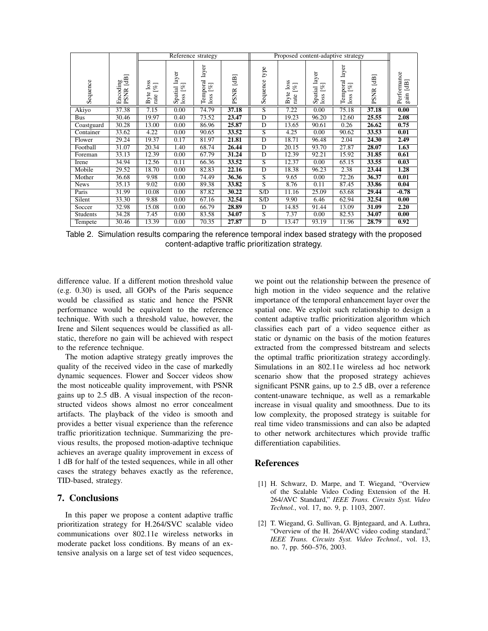|                 |                                   | Reference strategy                      |                                                                                                                                                                                                        |                                                                                                                                                                                           | Proposed content-adaptive strategy                                                                                                                                                                                                                                                                                   |                         |                                         |                                                        |                                            |                                                                                                                                                                                                                                                                                                                             |                                        |
|-----------------|-----------------------------------|-----------------------------------------|--------------------------------------------------------------------------------------------------------------------------------------------------------------------------------------------------------|-------------------------------------------------------------------------------------------------------------------------------------------------------------------------------------------|----------------------------------------------------------------------------------------------------------------------------------------------------------------------------------------------------------------------------------------------------------------------------------------------------------------------|-------------------------|-----------------------------------------|--------------------------------------------------------|--------------------------------------------|-----------------------------------------------------------------------------------------------------------------------------------------------------------------------------------------------------------------------------------------------------------------------------------------------------------------------------|----------------------------------------|
| Sequence        | $[dB]$<br>Encoding<br><b>PSNR</b> | $\frac{\log n}{\log n}$<br>Byte<br>rate | layer<br>$[% \begin{matrix} \mathcal{L}_{\mathcal{B}} & \mathcal{L}_{\mathcal{B}} \\ \mathcal{L}_{\mathcal{B}} & \mathcal{L}_{\mathcal{B}} \end{matrix} \big]$<br>$\frac{\text{Spatial}}{\text{loss}}$ | layer<br>Temporal<br>$[% \begin{matrix} \mathcal{L}_{\mathcal{A}} & \mathcal{L}_{\mathcal{A}} \\ \mathcal{L}_{\mathcal{A}} & \mathcal{L}_{\mathcal{A}} \end{matrix} \right]$<br>$_{loss}$ | $[dB] % \begin{center} % \includegraphics[width=\linewidth]{imagesSupplemental.jpg} % \end{center} % \caption { % Our method shows the proposed method. % The method shows the proposed method. % The method shows the proposed method. % The method shows the proposed method. % } % \label{fig:example} %$<br>PSNR | type<br>Sequence        | $\frac{\log n}{\log n}$<br>Byte<br>rate | layer<br>$[\%$<br>Spatial<br>$\log \sqrt{\frac{6}{5}}$ | layer<br>Temporal<br>$\mathcal{R}$<br>loss | $[dB] % \begin{center} % \includegraphics[width=\linewidth]{imagesSupplemental.jpg} % \end{center} % \caption { % Our method shows the proposed method. % The method shows the proposed method. % The method shows the proposed method. % The method shows the proposed method. % } % \label{fig:example} %$<br><b>PSNR</b> | Performance<br>$\overline{AB}$<br>gain |
| Akiyo           | $37.\overline{38}$                | 7.15                                    | 0.00                                                                                                                                                                                                   | 74.79                                                                                                                                                                                     | 37.18                                                                                                                                                                                                                                                                                                                | $\overline{S}$          | 7.22                                    | 0.00                                                   | 75.18                                      | 37.18                                                                                                                                                                                                                                                                                                                       | $\overline{0.00}$                      |
| <b>Bus</b>      | 30.46                             | 19.97                                   | 0.40                                                                                                                                                                                                   | 73.52                                                                                                                                                                                     | 23.47                                                                                                                                                                                                                                                                                                                | $\overline{D}$          | 19.23                                   | 96.20                                                  | 12.60                                      | 25.55                                                                                                                                                                                                                                                                                                                       | 2.08                                   |
| Coastguard      | 30.28                             | 13.00                                   | 0.00                                                                                                                                                                                                   | 86.96                                                                                                                                                                                     | 25.87                                                                                                                                                                                                                                                                                                                | $\overline{D}$          | 13.65                                   | 90.61                                                  | 0.26                                       | 26.62                                                                                                                                                                                                                                                                                                                       | 0.75                                   |
| Container       | 33.62                             | 4.22                                    | 0.00                                                                                                                                                                                                   | 90.65                                                                                                                                                                                     | 33.52                                                                                                                                                                                                                                                                                                                | $\overline{\mathbf{S}}$ | 4.25                                    | 0.00                                                   | 90.62                                      | 33.53                                                                                                                                                                                                                                                                                                                       | 0.01                                   |
| Flower          | 29.24                             | 19.37                                   | 0.17                                                                                                                                                                                                   | 81.97                                                                                                                                                                                     | 21.81                                                                                                                                                                                                                                                                                                                | $\overline{D}$          | 18.71                                   | 96.48                                                  | 2.04                                       | 24.30                                                                                                                                                                                                                                                                                                                       | 2.49                                   |
| Football        | 31.07                             | 20.34                                   | 1.40                                                                                                                                                                                                   | 68.74                                                                                                                                                                                     | 26.44                                                                                                                                                                                                                                                                                                                | D                       | 20.15                                   | 93.70                                                  | 27.87                                      | 28.07                                                                                                                                                                                                                                                                                                                       | 1.63                                   |
| Foreman         | 33.13                             | 12.39                                   | 0.00                                                                                                                                                                                                   | 67.79                                                                                                                                                                                     | 31.24                                                                                                                                                                                                                                                                                                                | $\overline{D}$          | 12.39                                   | 92.21                                                  | 15.92                                      | 31.85                                                                                                                                                                                                                                                                                                                       | 0.61                                   |
| Irene           | 34.94                             | 12.56                                   | 0.11                                                                                                                                                                                                   | 66.36                                                                                                                                                                                     | 33.52                                                                                                                                                                                                                                                                                                                | $\overline{\mathbf{s}}$ | 12.37                                   | 0.00                                                   | 65.15                                      | 33.55                                                                                                                                                                                                                                                                                                                       | 0.03                                   |
| Mobile          | 29.52                             | 18.70                                   | 0.00                                                                                                                                                                                                   | 82.83                                                                                                                                                                                     | 22.16                                                                                                                                                                                                                                                                                                                | $\overline{D}$          | 18.38                                   | 96.23                                                  | 2.38                                       | 23.44                                                                                                                                                                                                                                                                                                                       | 1.28                                   |
| Mother          | 36.68                             | 9.98                                    | 0.00                                                                                                                                                                                                   | 74.49                                                                                                                                                                                     | 36.36                                                                                                                                                                                                                                                                                                                | $\overline{S}$          | 9.65                                    | 0.00                                                   | 72.26                                      | 36.37                                                                                                                                                                                                                                                                                                                       | 0.01                                   |
| <b>News</b>     | 35.13                             | 9.02                                    | 0.00                                                                                                                                                                                                   | 89.38                                                                                                                                                                                     | 33.82                                                                                                                                                                                                                                                                                                                | $\overline{S}$          | 8.76                                    | 0.11                                                   | 87.45                                      | 33.86                                                                                                                                                                                                                                                                                                                       | 0.04                                   |
| Paris           | 31.99                             | 10.08                                   | 0.00                                                                                                                                                                                                   | 87.82                                                                                                                                                                                     | 30.22                                                                                                                                                                                                                                                                                                                | S/D                     | 11.16                                   | 25.09                                                  | 63.68                                      | 29.44                                                                                                                                                                                                                                                                                                                       | $-0.78$                                |
| Silent          | 33.30                             | 9.88                                    | 0.00                                                                                                                                                                                                   | 67.16                                                                                                                                                                                     | 32.54                                                                                                                                                                                                                                                                                                                | S/D                     | 9.90                                    | 6.46                                                   | 62.94                                      | 32.54                                                                                                                                                                                                                                                                                                                       | 0.00                                   |
| Soccer          | 32.98                             | 15.08                                   | 0.00                                                                                                                                                                                                   | 66.79                                                                                                                                                                                     | 28.89                                                                                                                                                                                                                                                                                                                | D                       | 14.85                                   | 91.44                                                  | 13.09                                      | 31.09                                                                                                                                                                                                                                                                                                                       | 2.20                                   |
| <b>Students</b> | 34.28                             | 7.45                                    | 0.00                                                                                                                                                                                                   | 83.58                                                                                                                                                                                     | 34.07                                                                                                                                                                                                                                                                                                                | S                       | 7.37                                    | 0.00                                                   | 82.53                                      | 34.07                                                                                                                                                                                                                                                                                                                       | 0.00                                   |
| Tempete         | 30.46                             | 13.39                                   | 0.00                                                                                                                                                                                                   | 70.35                                                                                                                                                                                     | 27.87                                                                                                                                                                                                                                                                                                                | $\overline{D}$          | 13.47                                   | 93.19                                                  | 11.96                                      | 28.79                                                                                                                                                                                                                                                                                                                       | 0.92                                   |

Table 2. Simulation results comparing the reference temporal index based strategy with the proposed content-adaptive traffic prioritization strategy.

difference value. If a different motion threshold value (e.g. 0.30) is used, all GOPs of the Paris sequence would be classified as static and hence the PSNR performance would be equivalent to the reference technique. With such a threshold value, however, the Irene and Silent sequences would be classified as allstatic, therefore no gain will be achieved with respect to the reference technique.

The motion adaptive strategy greatly improves the quality of the received video in the case of markedly dynamic sequences. Flower and Soccer videos show the most noticeable quality improvement, with PSNR gains up to 2.5 dB. A visual inspection of the reconstructed videos shows almost no error concealment artifacts. The playback of the video is smooth and provides a better visual experience than the reference traffic prioritization technique. Summarizing the previous results, the proposed motion-adaptive technique achieves an average quality improvement in excess of 1 dB for half of the tested sequences, while in all other cases the strategy behaves exactly as the reference, TID-based, strategy.

#### 7. Conclusions

In this paper we propose a content adaptive traffic prioritization strategy for H.264/SVC scalable video communications over 802.11e wireless networks in moderate packet loss conditions. By means of an extensive analysis on a large set of test video sequences,

we point out the relationship between the presence of high motion in the video sequence and the relative importance of the temporal enhancement layer over the spatial one. We exploit such relationship to design a content adaptive traffic prioritization algorithm which classifies each part of a video sequence either as static or dynamic on the basis of the motion features extracted from the compressed bitstream and selects the optimal traffic prioritization strategy accordingly. Simulations in an 802.11e wireless ad hoc network scenario show that the proposed strategy achieves significant PSNR gains, up to 2.5 dB, over a reference content-unaware technique, as well as a remarkable increase in visual quality and smoothness. Due to its low complexity, the proposed strategy is suitable for real time video transmissions and can also be adapted to other network architectures which provide traffic differentiation capabilities.

#### References

- [1] H. Schwarz, D. Marpe, and T. Wiegand, "Overview of the Scalable Video Coding Extension of the H. 264/AVC Standard," *IEEE Trans. Circuits Syst. Video Technol.*, vol. 17, no. 9, p. 1103, 2007.
- [2] T. Wiegand, G. Sullivan, G. Bjntegaard, and A. Luthra, "Overview of the H. 264/AVC video coding standard," *IEEE Trans. Circuits Syst. Video Technol.*, vol. 13, no. 7, pp. 560–576, 2003.